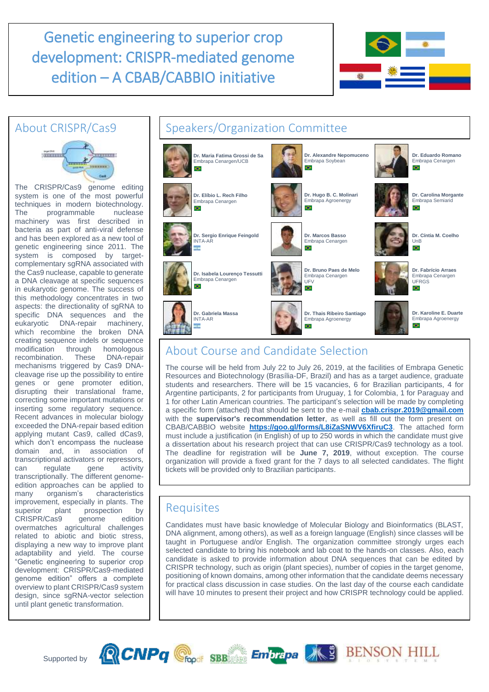# Genetic engineering to superior crop development: CRISPR-mediated genome edition – A CBAB/CABBIO initiative



### About CRISPR/Cas9



The CRISPR/Cas9 genome editing system is one of the most powerful techniques in modern biotechnology. The programmable nuclease machinery was first described in bacteria as part of anti-viral defense and has been explored as a new tool of genetic engineering since 2011. The system is composed by targetcomplementary sgRNA associated with the Cas9 nuclease, capable to generate a DNA cleavage at specific sequences in eukaryotic genome. The success of this methodology concentrates in two aspects: the directionality of sgRNA to specific DNA sequences and the eukaryotic DNA-repair machinery, which recombine the broken DNA creating sequence indels or sequence modification through homologous recombination. These DNA-repair mechanisms triggered by Cas9 DNAcleavage rise up the possibility to entire genes or gene promoter edition, disrupting their translational frame, correcting some important mutations or inserting some regulatory sequence. Recent advances in molecular biology exceeded the DNA-repair based edition applying mutant Cas9, called dCas9, which don't encompass the nuclease domain and, in association of transcriptional activators or repressors, can regulate gene activity transcriptionally. The different genomeedition approaches can be applied to many organism's characteristics improvement, especially in plants. The<br>superior plant prospection by superior plant prospection by<br>CRISPR/Cas9 genome edition CRISPR/Cas9 genome edition overmatches agricultural challenges related to abiotic and biotic stress, displaying a new way to improve plant adaptability and yield. The course "Genetic engineering to superior crop development: CRISPR/Cas9-mediated genome edition" offers a complete overview to plant CRISPR/Cas9 system design, since sgRNA-vector selection until plant genetic transformation.

#### Speakers/Organization Committee **Dr. Maria Fatima Grossi de Sa Dr. Alexandre Nepomuceno Dr. Eduardo Romano** Embrapa Soybean Embrapa Cenargen Embrapa Cenargen/UCB ÷  $\bullet$ **CH Dr. Carolina Morgante Dr. Elíbio L. Rech Filho Dr. Hugo B. C. Molinari** Embrapa Semiarid Embrapa Cenargen Embrapa Agroenergy o. CH. CH. **Dr. Sergio Enrique Feingold Dr. Marcos Basso Dr. Cíntia M. Coelho** Embrapa Cenargen INTA-AR UnB ŤΕ O. O. **Dr. Bruno Paes de Melo Dr. Fabrício Arraes Dr. Isabela Lourenço Tessutti** Embrapa Cenargen Embrapa Cenargen Embrapa Cenargen UFV UFRGS O. Ch. **ATTN Dr. Gabriela Massa Dr. Thais Ribeiro Santiago Dr. Karoline E. Duarte** INTA-AR Embrapa Agroenergy Embrapa AgroenergyO. Ŧ. Ch.

## About Course and Candidate Selection

**RCNPq** Choos SBB Embrapa AS BENSON HILL

The course will be held from July 22 to July 26, 2019, at the facilities of Embrapa Genetic Resources and Biotechnology (Brasília-DF, Brazil) and has as a target audience, graduate students and researchers. There will be 15 vacancies, 6 for Brazilian participants, 4 for Argentine participants, 2 for participants from Uruguay, 1 for Colombia, 1 for Paraguay and 1 for other Latin American countries. The participant's selection will be made by completing a specific form (attached) that should be sent to the e-mail **[cbab.crispr.2019@gmail.com](mailto:cbab.crispr.2019@gmail.com)** with the **supervisor's recommendation letter**, as well as fill out the form present on CBAB/CABBIO website **<https://goo.gl/forms/L8iZaSNWV6XfiruC3>**. The attached form must include a justification (in English) of up to 250 words in which the candidate must give a dissertation about his research project that can use CRISPR/Cas9 technology as a tool. The deadline for registration will be **June 7, 2019**, without exception. The course organization will provide a fixed grant for the 7 days to all selected candidates. The flight tickets will be provided only to Brazilian participants.

### **Requisites**

Candidates must have basic knowledge of Molecular Biology and Bioinformatics (BLAST, DNA alignment, among others), as well as a foreign language (English) since classes will be taught in Portuguese and/or English. The organization committee strongly urges each selected candidate to bring his notebook and lab coat to the hands-on classes. Also, each candidate is asked to provide information about DNA sequences that can be edited by CRISPR technology, such as origin (plant species), number of copies in the target genome, positioning of known domains, among other information that the candidate deems necessary for practical class discussion in case studies. On the last day of the course each candidate will have 10 minutes to present their project and how CRISPR technology could be applied.

Supported by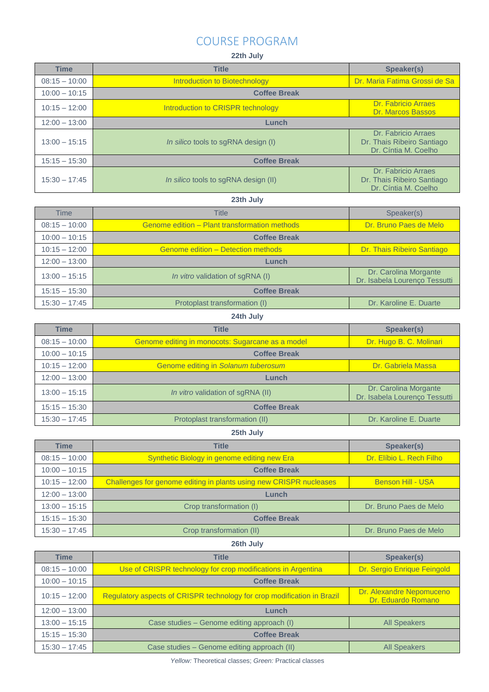### COURSE PROGRAM

#### **22th July**

| <b>Time</b>     | <b>Title</b>                         | Speaker(s)                                                                |
|-----------------|--------------------------------------|---------------------------------------------------------------------------|
| $08:15 - 10:00$ | Introduction to Biotechnology        | Dr. Maria Fatima Grossi de Sa                                             |
| $10:00 - 10:15$ | <b>Coffee Break</b>                  |                                                                           |
| $10:15 - 12:00$ | Introduction to CRISPR technology    | Dr. Fabricio Arraes<br><b>Dr. Marcos Bassos</b>                           |
| $12:00 - 13:00$ | Lunch                                |                                                                           |
| $13:00 - 15:15$ | In silico tools to sqRNA design (I)  | Dr. Fabricio Arraes<br>Dr. Thais Ribeiro Santiago<br>Dr. Cíntia M. Coelho |
| $15:15 - 15:30$ | <b>Coffee Break</b>                  |                                                                           |
| $15:30 - 17:45$ | In silico tools to sgRNA design (II) | Dr. Fabricio Arraes<br>Dr. Thais Ribeiro Santiago<br>Dr. Cíntia M. Coelho |

#### **23th July**

| <b>Time</b>     | <b>Title</b>                                  | Speaker(s)                                             |
|-----------------|-----------------------------------------------|--------------------------------------------------------|
| $08:15 - 10:00$ | Genome edition - Plant transformation methods | Dr. Bruno Paes de Melo                                 |
| $10:00 - 10:15$ | <b>Coffee Break</b>                           |                                                        |
| $10:15 - 12:00$ | Genome edition - Detection methods            | Dr. Thais Ribeiro Santiago                             |
| $12:00 - 13:00$ | Lunch                                         |                                                        |
| $13:00 - 15:15$ | <i>In vitro</i> validation of sqRNA (I)       | Dr. Carolina Morgante<br>Dr. Isabela Lourenço Tessutti |
| $15:15 - 15:30$ | <b>Coffee Break</b>                           |                                                        |
| $15:30 - 17:45$ | Protoplast transformation (I)                 | Dr. Karoline E. Duarte                                 |

### **24th July**

 $\mathbf{r}$ 

| <b>Time</b>     | <b>Title</b>                                     | Speaker(s)                                             |
|-----------------|--------------------------------------------------|--------------------------------------------------------|
| $08:15 - 10:00$ | Genome editing in monocots: Sugarcane as a model | Dr. Hugo B. C. Molinari                                |
| $10:00 - 10:15$ | <b>Coffee Break</b>                              |                                                        |
| $10:15 - 12:00$ | Genome editing in Solanum tuberosum              | Dr. Gabriela Massa                                     |
| $12:00 - 13:00$ | Lunch                                            |                                                        |
| $13:00 - 15:15$ | <i>In vitro</i> validation of sqRNA (II)         | Dr. Carolina Morgante<br>Dr. Isabela Lourenço Tessutti |
| $15:15 - 15:30$ | <b>Coffee Break</b>                              |                                                        |
| $15:30 - 17:45$ | Protoplast transformation (II)                   | Dr. Karoline E. Duarte                                 |

#### **25th July**

| <b>Time</b>     | <b>Title</b>                                                       | Speaker(s)               |
|-----------------|--------------------------------------------------------------------|--------------------------|
| $08:15 - 10:00$ | Synthetic Biology in genome editing new Era                        | Dr. Elíbio L. Rech Filho |
| $10:00 - 10:15$ | <b>Coffee Break</b>                                                |                          |
| $10:15 - 12:00$ | Challenges for genome editing in plants using new CRISPR nucleases | <b>Benson Hill - USA</b> |
| $12:00 - 13:00$ | Lunch                                                              |                          |
| $13:00 - 15:15$ | Crop transformation (I)                                            | Dr. Bruno Paes de Melo   |
| $15:15 - 15:30$ | <b>Coffee Break</b>                                                |                          |
| $15:30 - 17:45$ | Crop transformation (II)                                           | Dr. Bruno Paes de Melo   |

#### **26th July**

| <b>Time</b>     | <b>Title</b>                                                            | Speaker(s)                                     |
|-----------------|-------------------------------------------------------------------------|------------------------------------------------|
| $08:15 - 10:00$ | Use of CRISPR technology for crop modifications in Argentina            | Dr. Sergio Enrique Feingold                    |
| $10:00 - 10:15$ | <b>Coffee Break</b>                                                     |                                                |
| $10:15 - 12:00$ | Regulatory aspects of CRISPR technology for crop modification in Brazil | Dr. Alexandre Nepomuceno<br>Dr. Eduardo Romano |
| $12:00 - 13:00$ | Lunch                                                                   |                                                |
| $13:00 - 15:15$ | Case studies – Genome editing approach (I)                              | <b>All Speakers</b>                            |
| $15:15 - 15:30$ | <b>Coffee Break</b>                                                     |                                                |
| $15:30 - 17:45$ | Case studies – Genome editing approach (II)                             | <b>All Speakers</b>                            |

*Yellow:* Theoretical classes; *Green:* Practical classes